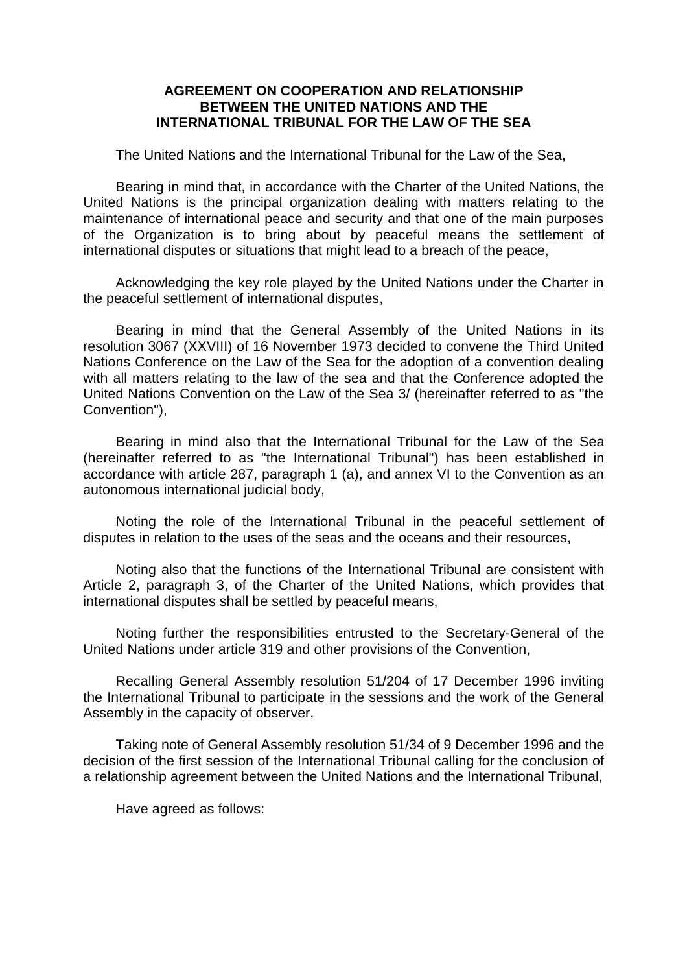### **AGREEMENT ON COOPERATION AND RELATIONSHIP BETWEEN THE UNITED NATIONS AND THE INTERNATIONAL TRIBUNAL FOR THE LAW OF THE SEA**

The United Nations and the International Tribunal for the Law of the Sea,

Bearing in mind that, in accordance with the Charter of the United Nations, the United Nations is the principal organization dealing with matters relating to the maintenance of international peace and security and that one of the main purposes of the Organization is to bring about by peaceful means the settlement of international disputes or situations that might lead to a breach of the peace,

Acknowledging the key role played by the United Nations under the Charter in the peaceful settlement of international disputes,

Bearing in mind that the General Assembly of the United Nations in its resolution 3067 (XXVIII) of 16 November 1973 decided to convene the Third United Nations Conference on the Law of the Sea for the adoption of a convention dealing with all matters relating to the law of the sea and that the Conference adopted the United Nations Convention on the Law of the Sea 3/ (hereinafter referred to as "the Convention"),

Bearing in mind also that the International Tribunal for the Law of the Sea (hereinafter referred to as "the International Tribunal") has been established in accordance with article 287, paragraph 1 (a), and annex VI to the Convention as an autonomous international judicial body,

Noting the role of the International Tribunal in the peaceful settlement of disputes in relation to the uses of the seas and the oceans and their resources,

Noting also that the functions of the International Tribunal are consistent with Article 2, paragraph 3, of the Charter of the United Nations, which provides that international disputes shall be settled by peaceful means,

Noting further the responsibilities entrusted to the Secretary-General of the United Nations under article 319 and other provisions of the Convention,

Recalling General Assembly resolution 51/204 of 17 December 1996 inviting the International Tribunal to participate in the sessions and the work of the General Assembly in the capacity of observer,

Taking note of General Assembly resolution 51/34 of 9 December 1996 and the decision of the first session of the International Tribunal calling for the conclusion of a relationship agreement between the United Nations and the International Tribunal,

Have agreed as follows: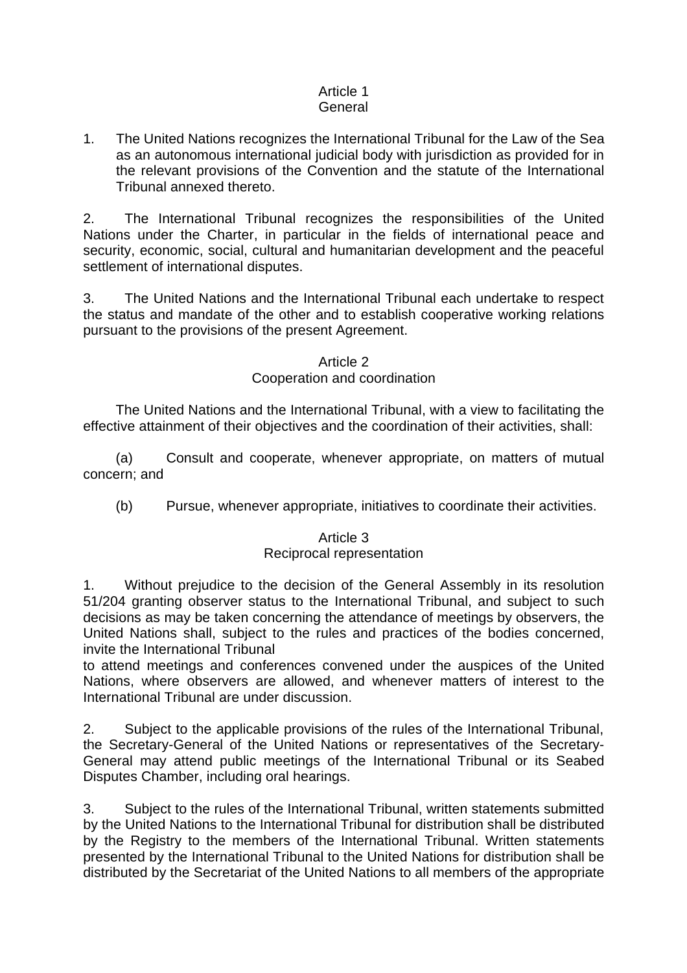#### Article 1 **General**

1. The United Nations recognizes the International Tribunal for the Law of the Sea as an autonomous international judicial body with jurisdiction as provided for in the relevant provisions of the Convention and the statute of the International Tribunal annexed thereto.

2. The International Tribunal recognizes the responsibilities of the United Nations under the Charter, in particular in the fields of international peace and security, economic, social, cultural and humanitarian development and the peaceful settlement of international disputes.

3. The United Nations and the International Tribunal each undertake to respect the status and mandate of the other and to establish cooperative working relations pursuant to the provisions of the present Agreement.

## Article 2 Cooperation and coordination

The United Nations and the International Tribunal, with a view to facilitating the effective attainment of their objectives and the coordination of their activities, shall:

(a) Consult and cooperate, whenever appropriate, on matters of mutual concern; and

(b) Pursue, whenever appropriate, initiatives to coordinate their activities.

# Article 3 Reciprocal representation

1. Without prejudice to the decision of the General Assembly in its resolution 51/204 granting observer status to the International Tribunal, and subject to such decisions as may be taken concerning the attendance of meetings by observers, the United Nations shall, subject to the rules and practices of the bodies concerned, invite the International Tribunal

to attend meetings and conferences convened under the auspices of the United Nations, where observers are allowed, and whenever matters of interest to the International Tribunal are under discussion.

2. Subject to the applicable provisions of the rules of the International Tribunal, the Secretary-General of the United Nations or representatives of the Secretary-General may attend public meetings of the International Tribunal or its Seabed Disputes Chamber, including oral hearings.

3. Subject to the rules of the International Tribunal, written statements submitted by the United Nations to the International Tribunal for distribution shall be distributed by the Registry to the members of the International Tribunal. Written statements presented by the International Tribunal to the United Nations for distribution shall be distributed by the Secretariat of the United Nations to all members of the appropriate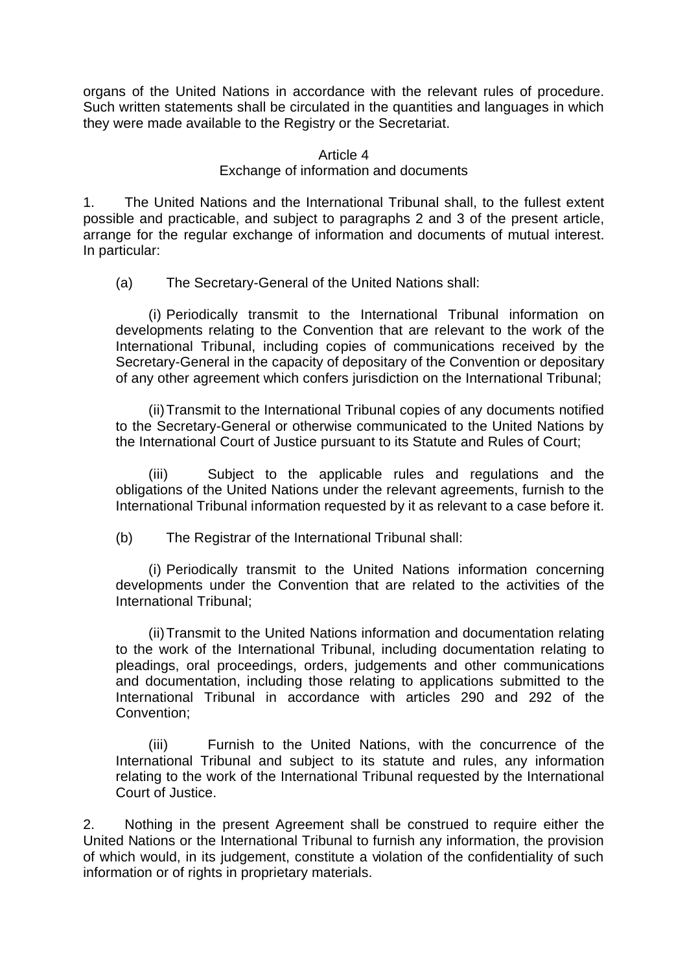organs of the United Nations in accordance with the relevant rules of procedure. Such written statements shall be circulated in the quantities and languages in which they were made available to the Registry or the Secretariat.

### Article 4

## Exchange of information and documents

1. The United Nations and the International Tribunal shall, to the fullest extent possible and practicable, and subject to paragraphs 2 and 3 of the present article, arrange for the regular exchange of information and documents of mutual interest. In particular:

(a) The Secretary-General of the United Nations shall:

(i) Periodically transmit to the International Tribunal information on developments relating to the Convention that are relevant to the work of the International Tribunal, including copies of communications received by the Secretary-General in the capacity of depositary of the Convention or depositary of any other agreement which confers jurisdiction on the International Tribunal;

(ii)Transmit to the International Tribunal copies of any documents notified to the Secretary-General or otherwise communicated to the United Nations by the International Court of Justice pursuant to its Statute and Rules of Court;

(iii) Subject to the applicable rules and regulations and the obligations of the United Nations under the relevant agreements, furnish to the International Tribunal information requested by it as relevant to a case before it.

(b) The Registrar of the International Tribunal shall:

(i) Periodically transmit to the United Nations information concerning developments under the Convention that are related to the activities of the International Tribunal;

(ii)Transmit to the United Nations information and documentation relating to the work of the International Tribunal, including documentation relating to pleadings, oral proceedings, orders, judgements and other communications and documentation, including those relating to applications submitted to the International Tribunal in accordance with articles 290 and 292 of the Convention;

(iii) Furnish to the United Nations, with the concurrence of the International Tribunal and subject to its statute and rules, any information relating to the work of the International Tribunal requested by the International Court of Justice.

2. Nothing in the present Agreement shall be construed to require either the United Nations or the International Tribunal to furnish any information, the provision of which would, in its judgement, constitute a violation of the confidentiality of such information or of rights in proprietary materials.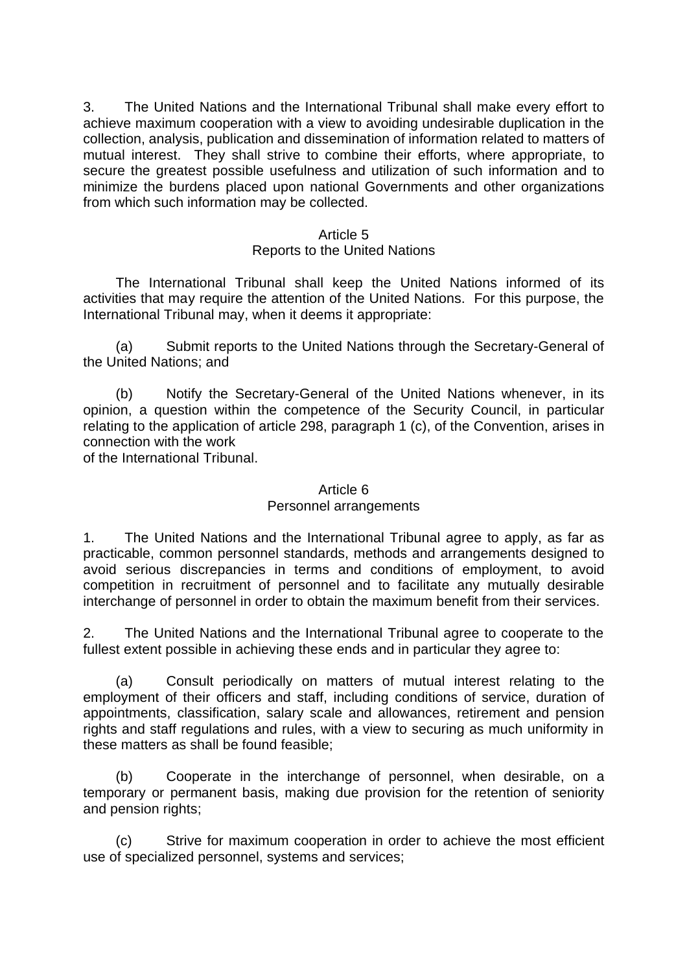3. The United Nations and the International Tribunal shall make every effort to achieve maximum cooperation with a view to avoiding undesirable duplication in the collection, analysis, publication and dissemination of information related to matters of mutual interest. They shall strive to combine their efforts, where appropriate, to secure the greatest possible usefulness and utilization of such information and to minimize the burdens placed upon national Governments and other organizations from which such information may be collected.

## Article 5

## Reports to the United Nations

The International Tribunal shall keep the United Nations informed of its activities that may require the attention of the United Nations. For this purpose, the International Tribunal may, when it deems it appropriate:

(a) Submit reports to the United Nations through the Secretary-General of the United Nations; and

(b) Notify the Secretary-General of the United Nations whenever, in its opinion, a question within the competence of the Security Council, in particular relating to the application of article 298, paragraph 1 (c), of the Convention, arises in connection with the work

of the International Tribunal.

## Article 6

## Personnel arrangements

1. The United Nations and the International Tribunal agree to apply, as far as practicable, common personnel standards, methods and arrangements designed to avoid serious discrepancies in terms and conditions of employment, to avoid competition in recruitment of personnel and to facilitate any mutually desirable interchange of personnel in order to obtain the maximum benefit from their services.

2. The United Nations and the International Tribunal agree to cooperate to the fullest extent possible in achieving these ends and in particular they agree to:

(a) Consult periodically on matters of mutual interest relating to the employment of their officers and staff, including conditions of service, duration of appointments, classification, salary scale and allowances, retirement and pension rights and staff regulations and rules, with a view to securing as much uniformity in these matters as shall be found feasible;

(b) Cooperate in the interchange of personnel, when desirable, on a temporary or permanent basis, making due provision for the retention of seniority and pension rights;

(c) Strive for maximum cooperation in order to achieve the most efficient use of specialized personnel, systems and services;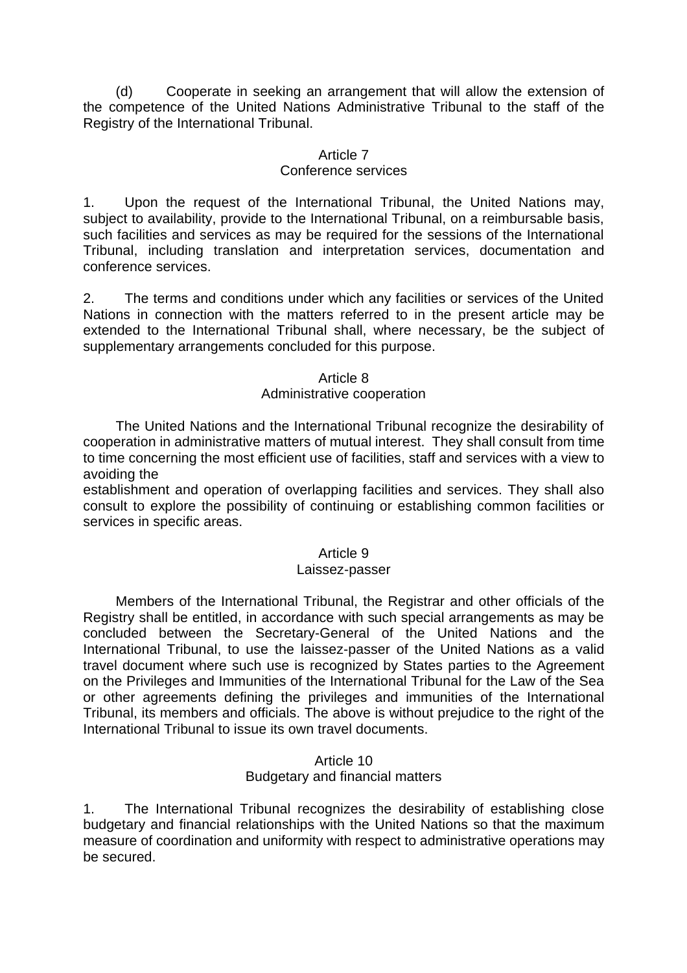(d) Cooperate in seeking an arrangement that will allow the extension of the competence of the United Nations Administrative Tribunal to the staff of the Registry of the International Tribunal.

### Article 7

### Conference services

1. Upon the request of the International Tribunal, the United Nations may, subject to availability, provide to the International Tribunal, on a reimbursable basis, such facilities and services as may be required for the sessions of the International Tribunal, including translation and interpretation services, documentation and conference services.

2. The terms and conditions under which any facilities or services of the United Nations in connection with the matters referred to in the present article may be extended to the International Tribunal shall, where necessary, be the subject of supplementary arrangements concluded for this purpose.

### Article 8

### Administrative cooperation

The United Nations and the International Tribunal recognize the desirability of cooperation in administrative matters of mutual interest. They shall consult from time to time concerning the most efficient use of facilities, staff and services with a view to avoiding the

establishment and operation of overlapping facilities and services. They shall also consult to explore the possibility of continuing or establishing common facilities or services in specific areas.

### Article 9

### Laissez-passer

Members of the International Tribunal, the Registrar and other officials of the Registry shall be entitled, in accordance with such special arrangements as may be concluded between the Secretary-General of the United Nations and the International Tribunal, to use the laissez-passer of the United Nations as a valid travel document where such use is recognized by States parties to the Agreement on the Privileges and Immunities of the International Tribunal for the Law of the Sea or other agreements defining the privileges and immunities of the International Tribunal, its members and officials. The above is without prejudice to the right of the International Tribunal to issue its own travel documents.

### Article 10 Budgetary and financial matters

1. The International Tribunal recognizes the desirability of establishing close budgetary and financial relationships with the United Nations so that the maximum measure of coordination and uniformity with respect to administrative operations may be secured.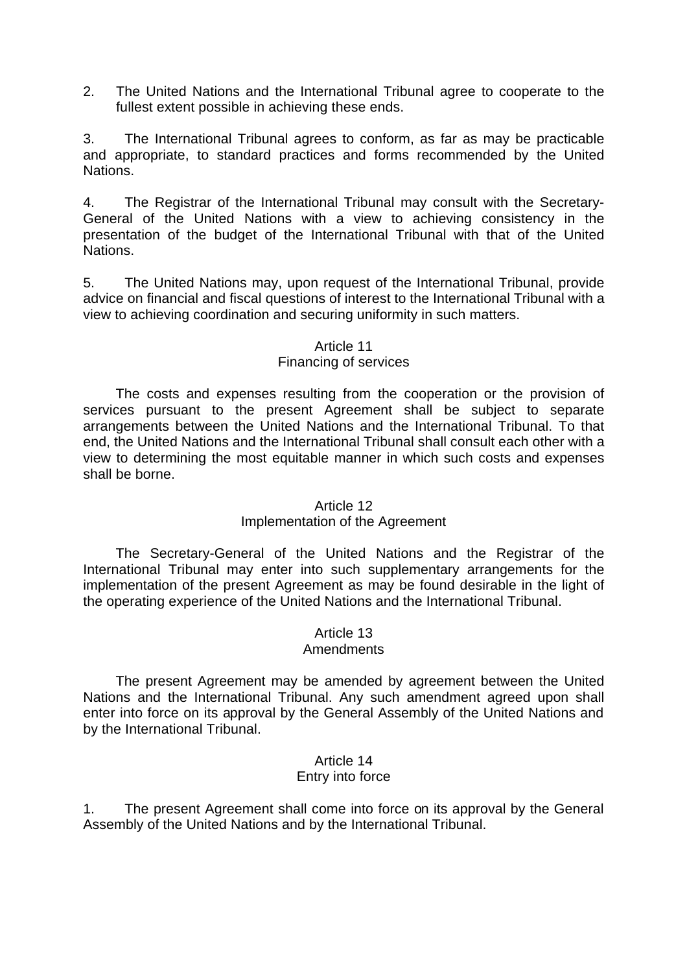2. The United Nations and the International Tribunal agree to cooperate to the fullest extent possible in achieving these ends.

3. The International Tribunal agrees to conform, as far as may be practicable and appropriate, to standard practices and forms recommended by the United Nations.

4. The Registrar of the International Tribunal may consult with the Secretary-General of the United Nations with a view to achieving consistency in the presentation of the budget of the International Tribunal with that of the United Nations.

5. The United Nations may, upon request of the International Tribunal, provide advice on financial and fiscal questions of interest to the International Tribunal with a view to achieving coordination and securing uniformity in such matters.

### Article 11

### Financing of services

The costs and expenses resulting from the cooperation or the provision of services pursuant to the present Agreement shall be subject to separate arrangements between the United Nations and the International Tribunal. To that end, the United Nations and the International Tribunal shall consult each other with a view to determining the most equitable manner in which such costs and expenses shall be borne.

### Article 12

## Implementation of the Agreement

The Secretary-General of the United Nations and the Registrar of the International Tribunal may enter into such supplementary arrangements for the implementation of the present Agreement as may be found desirable in the light of the operating experience of the United Nations and the International Tribunal.

## Article 13

### Amendments

The present Agreement may be amended by agreement between the United Nations and the International Tribunal. Any such amendment agreed upon shall enter into force on its approval by the General Assembly of the United Nations and by the International Tribunal.

#### Article 14 Entry into force

1. The present Agreement shall come into force on its approval by the General Assembly of the United Nations and by the International Tribunal.